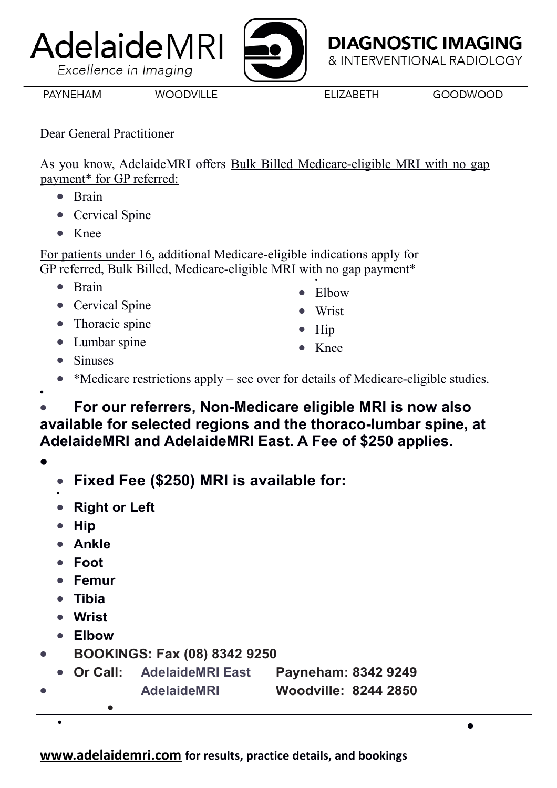**[www.adelaidemri.com](http://www.adelaidemri.com/) for results, practice details, and bookings**

## **PAYNEHAM**

Dear General Practitioner

AdelaideMRI

Excellence in Imaging

**WOODVILLE** 

As you know, AdelaideMRI offers Bulk Billed Medicare-eligible MRI with no gap payment\* for GP referred:

- Brain
- Cervical Spine
- $\bullet$  Knee

For patients under 16, additional Medicare-eligible indications apply for GP referred, Bulk Billed, Medicare-eligible MRI with no gap payment\* .

- $\bullet$  Brain
- Cervical Spine
- Thoracic spine
- Lumbar spine
- Sinuses
- \*Medicare restrictions apply see over for details of Medicare-eligible studies.
- **For our referrers, Non-Medicare eligible MRI is now also available for selected regions and the thoraco-lumbar spine, at AdelaideMRI and AdelaideMRI East. A Fee of \$250 applies.**

 $\bullet$ 

 $\bullet$ 

- **Fixed Fee (\$250) MRI is available for:**
- $\bullet$ **Right or Left**
- Hip
- **Ankle**
- **Foot**
- **Femur**
- **Tibia**
- **Wrist**
- **Elbow**

 $\bullet$ 

- **BOOKINGS: Fax (08) 8342 9250**
- **Or Call: AdelaideMRI East Payneham: 8342 9249 AdelaideMRI Woodville: 8244 2850**  $\bullet$
- Elbow
- Wrist
- Hip
- Knee

**ELIZABETH** 

**DIAGNOSTIC IMAGING** & INTERVENTIONAL RADIOLOGY

 $\bullet$ 

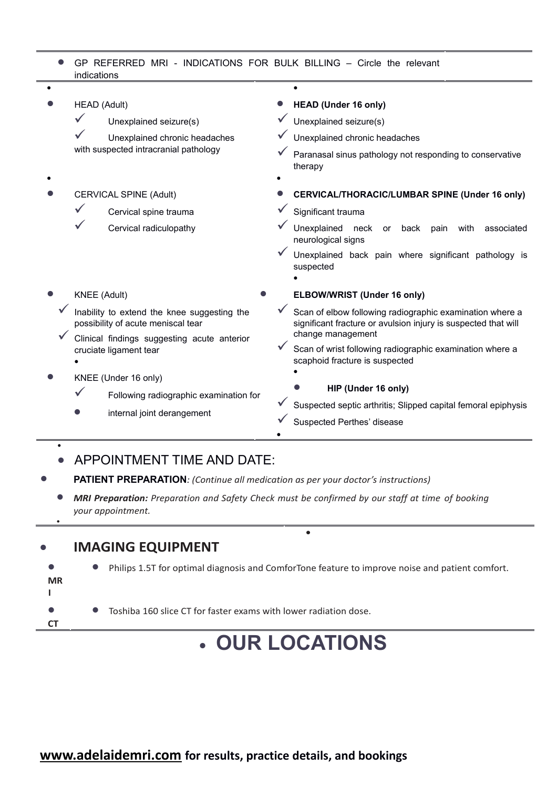| • GP REFERRED MRI - INDICATIONS FOR BULK BILLING – Circle the relevant |  |
|------------------------------------------------------------------------|--|
| indications                                                            |  |

|  | HEAD (Adult)                                                                      |                        |                                                                                            | <b>HEAD (Under 16 only)</b>                                                                                                |
|--|-----------------------------------------------------------------------------------|------------------------|--------------------------------------------------------------------------------------------|----------------------------------------------------------------------------------------------------------------------------|
|  |                                                                                   | Unexplained seizure(s) |                                                                                            | Unexplained seizure(s)                                                                                                     |
|  | Unexplained chronic headaches<br>with suspected intracranial pathology            |                        | Unexplained chronic headaches                                                              |                                                                                                                            |
|  |                                                                                   |                        | Paranasal sinus pathology not responding to conservative<br>therapy                        |                                                                                                                            |
|  |                                                                                   |                        |                                                                                            |                                                                                                                            |
|  | <b>CERVICAL SPINE (Adult)</b>                                                     |                        |                                                                                            | CERVICAL/THORACIC/LUMBAR SPINE (Under 16 only)                                                                             |
|  |                                                                                   | Cervical spine trauma  |                                                                                            | Significant trauma                                                                                                         |
|  |                                                                                   | Cervical radiculopathy |                                                                                            | Unexplained<br>neck<br>back<br>with<br>or<br>pain<br>associated<br>neurological signs                                      |
|  |                                                                                   |                        | Unexplained back pain where significant pathology is<br>suspected                          |                                                                                                                            |
|  | <b>KNEE</b> (Adult)                                                               |                        |                                                                                            | ELBOW/WRIST (Under 16 only)                                                                                                |
|  | Inability to extend the knee suggesting the<br>possibility of acute meniscal tear |                        |                                                                                            | Scan of elbow following radiographic examination where a<br>significant fracture or avulsion injury is suspected that will |
|  | Clinical findings suggesting acute anterior<br>cruciate ligament tear             |                        | change management                                                                          |                                                                                                                            |
|  |                                                                                   |                        | Scan of wrist following radiographic examination where a<br>scaphoid fracture is suspected |                                                                                                                            |
|  | KNEE (Under 16 only)                                                              |                        |                                                                                            |                                                                                                                            |
|  | Following radiographic examination for<br>internal joint derangement              |                        | HIP (Under 16 only)                                                                        |                                                                                                                            |
|  |                                                                                   |                        | Suspected septic arthritis; Slipped capital femoral epiphysis                              |                                                                                                                            |
|  |                                                                                   |                        |                                                                                            | Suspected Perthes' disease                                                                                                 |
|  |                                                                                   |                        |                                                                                            |                                                                                                                            |

## **• APPOINTMENT TIME AND DATE:**

- **PATIENT PREPARATION***: (Continue all medication as per your doctor's instructions)*
	- *MRI Preparation: Preparation and Safety Check must be confirmed by our staff at time of booking your appointment.*

## **IMAGING EQUIPMENT**

 $\bullet$ 

 $\bullet$ 



## **OUR LOCATIONS**

 $\bullet$ 

**[www.adelaidemri.com](http://www.adelaidemri.com/) for results, practice details, and bookings**